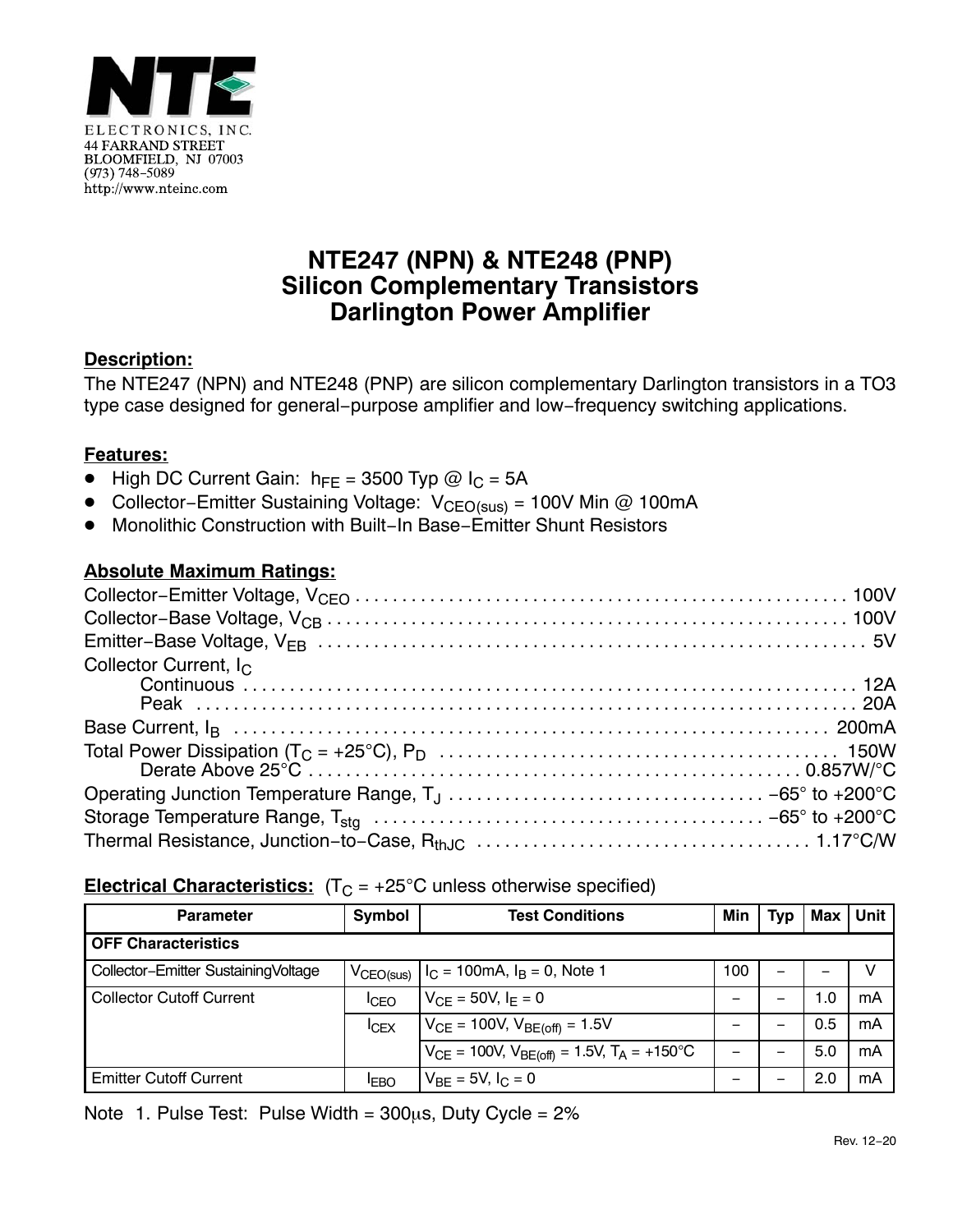

# **NTE247 (NPN) & NTE248 (PNP) Silicon Complementary Transistors Darlington Power Amplifier**

### **Description:**

The NTE247 (NPN) and NTE248 (PNP) are silicon complementary Darlington transistors in a TO3 type case designed for general−purpose amplifier and low−frequency switching applications.

# **Features:**

- $\bullet$  High DC Current Gain:  $h_{FE} = 3500$  Typ @ I<sub>C</sub> = 5A
- Collector–Emitter Sustaining Voltage: V<sub>CEO(sus)</sub> = 100V Min @ 100mA
- -Monolithic Construction with Built−In Base−Emitter Shunt Resistors

# **Absolute Maximum Ratings:**

| Collector Current, $I_C$ |  |
|--------------------------|--|
|                          |  |
|                          |  |
|                          |  |
|                          |  |
|                          |  |
|                          |  |
|                          |  |
|                          |  |

### **Electrical Characteristics:**  $(T_C = +25^{\circ}C$  unless otherwise specified)

| <b>Parameter</b>                    | Symbol                | <b>Test Conditions</b>                                | Min | Typ | Max | Unit |  |
|-------------------------------------|-----------------------|-------------------------------------------------------|-----|-----|-----|------|--|
| <b>OFF Characteristics</b>          |                       |                                                       |     |     |     |      |  |
| Collector-Emitter SustainingVoltage | $V_{\text{CEO(sus)}}$ | $I_C = 100 \text{mA}, I_B = 0$ , Note 1               | 100 | -   |     |      |  |
| <b>Collector Cutoff Current</b>     | <sup>I</sup> CEO      | $V_{CF} = 50V, I_F = 0$                               |     |     | 1.0 | mA   |  |
|                                     | ICEX                  | $V_{CE}$ = 100V, $V_{BE(off)}$ = 1.5V                 |     |     | 0.5 | mA   |  |
|                                     |                       | $V_{CE}$ = 100V, $V_{BE(off)}$ = 1.5V, $T_A$ = +150°C |     |     | 5.0 | mA   |  |
| <b>Emitter Cutoff Current</b>       | <b>IEBO</b>           | $V_{BF} = 5V, I_C = 0$                                | -   | -   | 2.0 | mA   |  |

Note 1. Pulse Test: Pulse Width =  $300\mu s$ , Duty Cycle =  $2\%$